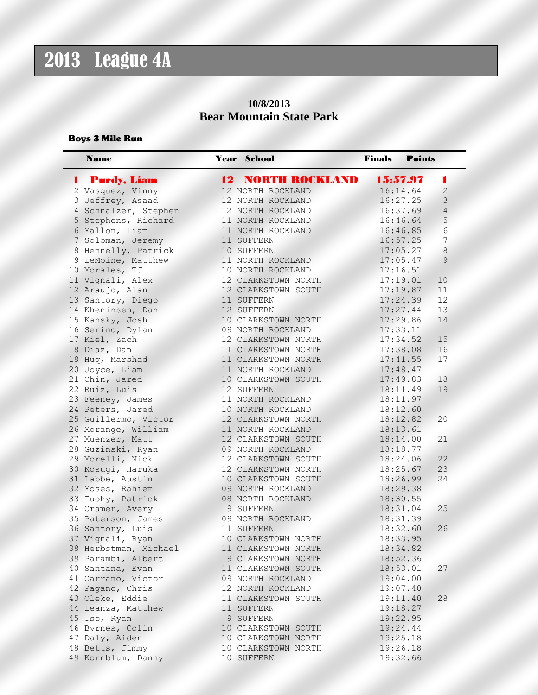## 2013 League 4A

### **10/8/2013 Bear Mountain State Park**

#### Boys 3 Mile Run

| <b>Name</b>                       | Year School              | <b>Finals</b> | <b>Points</b> |                |
|-----------------------------------|--------------------------|---------------|---------------|----------------|
| <b>Purdy, Liam</b><br>I and a set | <b>12 NORTH ROCKLAND</b> | 15:57.97      |               | п              |
| 2 Vasquez, Vinny                  | 12 NORTH ROCKLAND        | 16:14.64      |               | $\overline{c}$ |
| 3 Jeffrey, Asaad                  | 12 NORTH ROCKLAND        | 16:27.25      |               | 3              |
| 4 Schnalzer, Stephen              | 12 NORTH ROCKLAND        | 16:37.69      |               | $\overline{4}$ |
| 5 Stephens, Richard               | 11 NORTH ROCKLAND        | 16:46.64      |               | 5              |
| 6 Mallon, Liam                    | 11 NORTH ROCKLAND        | 16:46.85      |               | 6              |
| 7 Soloman, Jeremy                 | 11 SUFFERN               | 16:57.25      |               | 7              |
| 8 Hennelly, Patrick               | 10 SUFFERN               | 17:05.27      |               | 8              |
| 9 LeMoine, Matthew                | 11 NORTH ROCKLAND        | 17:05.47      |               | 9              |
| 10 Morales, TJ                    | 10 NORTH ROCKLAND        | 17:16.51      |               |                |
| 11 Vignali, Alex                  | 12 CLARKSTOWN NORTH      | 17:19.01      |               | 10             |
| 12 Araujo, Alan                   | 12 CLARKSTOWN SOUTH      | 17:19.87      |               | 11             |
| 13 Santory, Diego                 | 11 SUFFERN               | 17:24.39      |               | 12             |
| 14 Kheninsen, Dan                 | 12 SUFFERN               | 17:27.44      |               | 13             |
| 15 Kansky, Josh                   | 10 CLARKSTOWN NORTH      | 17:29.86      |               | 14             |
| 16 Serino, Dylan                  | 09 NORTH ROCKLAND        | 17:33.11      |               |                |
| 17 Kiel, Zach                     | 12 CLARKSTOWN NORTH      | 17:34.52      |               | 15             |
| 18 Diaz, Dan                      | 11 CLARKSTOWN NORTH      | 17:38.08      |               | 16             |
| 19 Huq, Marshad                   | 11 CLARKSTOWN NORTH      | 17:41.55      |               | 17             |
| 20 Joyce, Liam                    | 11 NORTH ROCKLAND        | 17:48.47      |               |                |
| 21 Chin, Jared                    | 10 CLARKSTOWN SOUTH      | 17:49.83      |               | 18             |
| 22 Ruiz, Luis                     | 12 SUFFERN               | 18:11.49      |               | 19             |
| 23 Feeney, James                  | 11 NORTH ROCKLAND        | 18:11.97      |               |                |
| 24 Peters, Jared                  | 10 NORTH ROCKLAND        | 18:12.60      |               |                |
| 25 Guillermo, Victor              | 12 CLARKSTOWN NORTH      | 18:12.82      |               | 20             |
| 26 Morange, William               | 11 NORTH ROCKLAND        | 18:13.61      |               |                |
| 27 Muenzer, Matt                  | 12 CLARKSTOWN SOUTH      | 18:14.00      |               | 21             |
| 28 Guzinski, Ryan                 | 09 NORTH ROCKLAND        | 18:18.77      |               |                |
| 29 Morelli, Nick                  | 12 CLARKSTOWN SOUTH      | 18:24.06      |               | 22             |
| 30 Kosugi, Haruka                 | 12 CLARKSTOWN NORTH      | 18:25.67      |               | 23             |
| 31 Labbe, Austin                  | 10 CLARKSTOWN SOUTH      | 18:26.99      |               | 24             |
| 32 Moses, Rahiem                  | 09 NORTH ROCKLAND        | 18:29.38      |               |                |
| 33 Tuohy, Patrick                 | 08 NORTH ROCKLAND        | 18:30.55      |               |                |
| 34 Cramer, Avery                  | 9 SUFFERN                | 18:31.04      |               | 25             |
| 35 Paterson, James                | 09 NORTH ROCKLAND        | 18:31.39      |               |                |
| 36 Santory, Luis                  | 11 SUFFERN               | 18:32.60      |               | 26             |
| 37 Vignali, Ryan                  | 10 CLARKSTOWN NORTH      | 18:33.95      |               |                |
| 38 Herbstman, Michael             | 11 CLARKSTOWN NORTH      | 18:34.82      |               |                |
| 39 Parambi, Albert                | 9 CLARKSTOWN NORTH       | 18:52.36      |               |                |
| 40 Santana, Evan                  | 11 CLARKSTOWN SOUTH      | 18:53.01      |               | 27             |
| 41 Carrano, Victor                | 09 NORTH ROCKLAND        | 19:04.00      |               |                |
| 42 Pagano, Chris                  | 12 NORTH ROCKLAND        | 19:07.40      |               |                |
| 43 Oleke, Eddie                   | 11 CLARKSTOWN SOUTH      | 19:11.40      |               | 28             |
| 44 Leanza, Matthew                | 11 SUFFERN               | 19:18.27      |               |                |
| 45 Tso, Ryan                      | 9 SUFFERN                | 19:22.95      |               |                |
| 46 Byrnes, Colin                  | 10 CLARKSTOWN SOUTH      | 19:24.44      |               |                |
| 47 Daly, Aiden                    | 10 CLARKSTOWN NORTH      | 19:25.18      |               |                |
| 48 Betts, Jimmy                   | 10 CLARKSTOWN NORTH      | 19:26.18      |               |                |
| 49 Kornblum, Danny                | 10 SUFFERN               | 19:32.66      |               |                |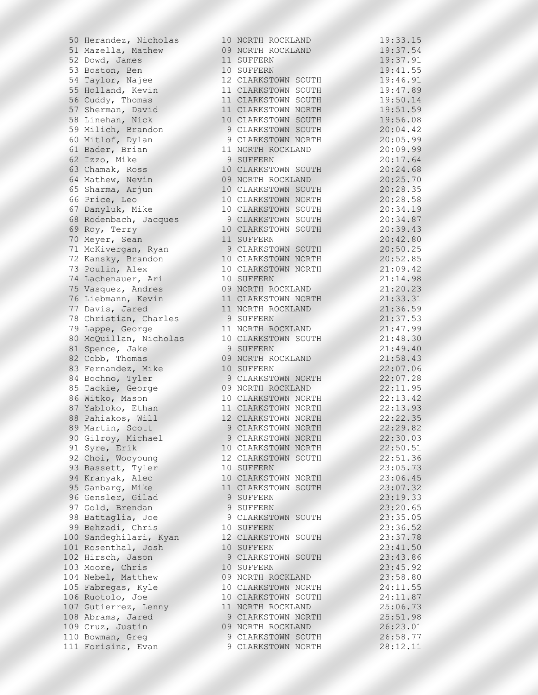51 Mazella, Mathew 09 NORTH ROCKLAND 19:37.54 52 Dowd, James 11 SUFFERN 19:37.91 53 Boston, Ben 10 SUFFERN 19:41.55 54 Taylor, Najee 12 CLARKSTOWN SOUTH 19:46.91 55 Holland, Kevin 11 CLARKSTOWN SOUTH 19:47.89 56 Cuddy, Thomas 11 CLARKSTOWN SOUTH 19:50.14 57 Sherman, David 11 CLARKSTOWN NORTH 19:51.59 58 Linehan, Nick 10 CLARKSTOWN SOUTH 19:56.08 59 Milich, Brandon 9 CLARKSTOWN SOUTH 20:04.42 60 Mitlof, Dylan 9 CLARKSTOWN NORTH 20:05.99 61 Bader, Brian 11 NORTH ROCKLAND 20:09.99 62 Izzo, Mike 9 SUFFERN 20:17.64 63 Chamak, Ross 10 CLARKSTOWN SOUTH 20:24.68 64 Mathew, Nevin 09 NORTH ROCKLAND 20:25.70 65 Sharma, Arjun 10 CLARKSTOWN SOUTH 20:28.35 66 Price, Leo 10 CLARKSTOWN NORTH 20:28.58 67 Danyluk, Mike 10 CLARKSTOWN SOUTH 20:34.19 68 Rodenbach, Jacques 9 CLARKSTOWN SOUTH 20:34.87 69 Roy, Terry 10 CLARKSTOWN SOUTH 20:39.43 70 Meyer, Sean 11 SUFFERN 20:42.80 71 McKivergan, Ryan 9 CLARKSTOWN SOUTH 20:50.25 72 Kansky, Brandon 10 CLARKSTOWN NORTH 20:52.85 73 Poulin, Alex 10 CLARKSTOWN NORTH 21:09.42 74 Lachenauer, Ari 10 SUFFERN 21:14.98 75 Vasquez, Andres 09 NORTH ROCKLAND 21:20.23 76 Liebmann, Kevin 11 CLARKSTOWN NORTH 21:33.31 77 Davis, Jared 11 NORTH ROCKLAND 21:36.59 78 Christian, Charles 9 SUFFERN 21:37.53 79 Lappe, George 11 NORTH ROCKLAND 21:47.99 80 McQuillan, Nicholas 10 CLARKSTOWN SOUTH 21:48.30 81 Spence, Jake 9 SUFFERN 21:49.40 82 Cobb, Thomas 09 NORTH ROCKLAND 21:58.43 83 Fernandez, Mike 10 SUFFERN 22:07.06 84 Bochno, Tyler 9 CLARKSTOWN NORTH 22:07.28 85 Tackie, George 09 NORTH ROCKLAND 22:11.95 86 Witko, Mason 10 CLARKSTOWN NORTH 22:13.42 87 Yabloko, Ethan 11 CLARKSTOWN NORTH 22:13.93 88 Pahiakos, Will 12 CLARKSTOWN NORTH 22:22.35 89 Martin, Scott 9 CLARKSTOWN NORTH 22:29.82 90 Gilroy, Michael 9 CLARKSTOWN NORTH 22:30.03 91 Syre, Erik 10 CLARKSTOWN NORTH 22:50.51 92 Choi, Wooyoung 12 CLARKSTOWN SOUTH 22:51.36 93 Bassett, Tyler 10 SUFFERN 23:05.73 94 Kranyak, Alec 10 CLARKSTOWN NORTH 23:06.45 95 Ganbarg, Mike 11 CLARKSTOWN SOUTH 23:07.32 96 Gensler, Gilad 9 SUFFERN 23:19.33 97 Gold, Brendan 9 SUFFERN 23:20.65 98 Battaglia, Joe 9 CLARKSTOWN SOUTH 23:35.05 99 Behzadi, Chris 10 SUFFERN 23:36.52 100 Sandeghilari, Kyan 12 CLARKSTOWN SOUTH 23:37.78 101 Rosenthal, Josh 10 SUFFERN 23:41.50 102 Hirsch, Jason 9 CLARKSTOWN SOUTH 23:43.86 103 Moore, Chris 10 SUFFERN 23:45.92 104 Nebel, Matthew 09 NORTH ROCKLAND 23:58.80 105 Fabregas, Kyle 10 CLARKSTOWN NORTH 24:11.55 106 Ruotolo, Joe 10 CLARKSTOWN SOUTH 24:11.87 107 Gutierrez, Lenny 11 NORTH ROCKLAND 25:06.73 108 Abrams, Jared 9 CLARKSTOWN NORTH 25:51.98 109 Cruz, Justin 09 NORTH ROCKLAND 26:23.01 110 Bowman, Greg 8 26:58.77 111 Forisina, Evan 9 CLARKSTOWN NORTH 28:12.11

50 Herandez, Nicholas 10 NORTH ROCKLAND 19:33.15

| 1                                            |                             |                |                             | 3                                          |                          |                            |                |
|----------------------------------------------|-----------------------------|----------------|-----------------------------|--------------------------------------------|--------------------------|----------------------------|----------------|
|                                              | 9                           | $\ddot{\cdot}$ |                             |                                            |                          | $\mathbf{1}$               | 5              |
| $\mathbf{1}$                                 | 9                           | $\ddot{\cdot}$ | 3                           | 7                                          | $\ddot{\phantom{0}}$     | 54                         |                |
|                                              |                             |                |                             |                                            |                          | 9                          |                |
| $\mathbf{1}$                                 | 9                           | $\ddot{\cdot}$ | 3                           | $\overline{7}$                             |                          |                            | $\mathbf{1}$   |
| $\mathbf{1}$                                 | 9                           | $\ddot{\cdot}$ | $\overline{4}$              | $\mathbf{1}$                               |                          | 5                          | 5              |
|                                              |                             |                |                             |                                            |                          |                            |                |
| $\mathbf{1}$                                 | 9                           | $\ddot{\cdot}$ | $\overline{4}$              | 6                                          |                          | 9                          | $\mathbf{1}$   |
|                                              |                             |                |                             |                                            |                          |                            |                |
| $1111$<br>$122$                              | 9                           | $\ddot{\cdot}$ | $\overline{4}$              | 7                                          |                          | 8                          | 9              |
|                                              | 9                           | $\ddot{\cdot}$ | 5                           | $\overline{O}$                             |                          | 14                         |                |
|                                              |                             |                |                             |                                            |                          | 59                         |                |
|                                              | 9                           | $\ddot{\cdot}$ | 5                           | $\mathbf{1}$                               | $\ddot{\phantom{0}}$     |                            |                |
|                                              | 9                           |                |                             |                                            |                          | 08                         |                |
|                                              |                             | :              |                             |                                            |                          |                            |                |
|                                              | $\circ$                     | $\ddot{\cdot}$ |                             | 56<br>04                                   | $\ddot{\phantom{0}}$     | $\overline{4}$             | $\overline{c}$ |
|                                              |                             |                |                             |                                            |                          |                            |                |
| $\overline{c}$                               | $\circ$                     | $\ddot{\cdot}$ | $\overline{0}$              | 5                                          | $\ddot{\phantom{0}}$     | 99                         |                |
| $\overline{c}$                               | $\circ$                     |                | $\circ$                     | 9                                          |                          | 99                         |                |
|                                              |                             | $\ddot{\cdot}$ |                             |                                            |                          |                            |                |
| $\overline{c}$                               | $\circ$                     | $\ddot{\cdot}$ | $\mathbf{1}$                | 7                                          |                          | 64                         |                |
|                                              |                             |                |                             |                                            |                          |                            |                |
| $\overline{c}$                               | $\circ$                     | $\ddot{\cdot}$ | $\overline{c}$              | $\overline{4}$                             |                          | 68                         |                |
| $\overline{c}$                               | $\overline{0}$              | $\ddot{\cdot}$ | $\overline{c}$              | 5                                          |                          | 70<br>35                   |                |
|                                              |                             |                |                             |                                            |                          |                            |                |
| $\overline{c}$                               | $\circ$                     | $\ddot{\cdot}$ | $\overline{c}$              | 8                                          |                          |                            |                |
| $\overline{c}$                               | $\overline{0}$              |                | $\overline{c}$              | $\delta$                                   | $\ddot{\cdot}$           |                            | 8              |
|                                              |                             | $\ddot{\cdot}$ |                             |                                            |                          | $\frac{5}{1}$              |                |
|                                              | $\overline{20}$             | $\ddot{\cdot}$ |                             | $\overline{4}$                             |                          |                            | 9              |
|                                              |                             |                | 3 <sup>3</sup>              |                                            |                          |                            |                |
| $\overline{c}$                               | $\circ$                     | $\ddot{\cdot}$ |                             | $\overline{4}$                             | $\ddot{\phantom{0}}$     | 8                          | $\overline{7}$ |
| $\overline{c}$                               | $\circ$                     |                | $\overline{3}$              | 9                                          |                          | $\overline{4}$             | 3              |
|                                              |                             | $\ddot{\cdot}$ |                             |                                            |                          |                            |                |
| $\overline{c}$                               | $\circ$                     | $\ddot{\cdot}$ | 42                          |                                            |                          | 80                         |                |
|                                              |                             |                |                             |                                            |                          |                            |                |
| $\overline{c}$                               | $\circ$                     | $\ddot{\cdot}$ | 5                           | $\circ$                                    |                          | 25                         |                |
| $\overline{\mathbf{c}}$                      | $\circ$                     | $\ddot{\cdot}$ |                             | $\overline{c}$                             |                          | 85                         |                |
|                                              |                             |                | $\frac{5}{0}$               |                                            | $\cdot$                  |                            |                |
| $\overline{c}$                               |                             | $\ddot{\cdot}$ |                             | 9                                          |                          | 42                         |                |
|                                              |                             |                |                             |                                            |                          |                            |                |
| $\overline{c}$                               |                             | $\ddot{\cdot}$ |                             |                                            |                          | 98                         |                |
|                                              |                             | $\ddot{\cdot}$ |                             |                                            |                          |                            |                |
|                                              |                             |                |                             |                                            |                          |                            |                |
| $\begin{array}{c}\n2 \\ 2 \\ 2\n\end{array}$ | $1111$<br>$111$             | $\ddot{\cdot}$ | 142033677                   |                                            | $\ddot{\cdot}$           | 23<br>23<br>31<br>59<br>53 |                |
|                                              |                             | $\ddot{\cdot}$ |                             |                                            |                          |                            |                |
|                                              |                             |                |                             |                                            |                          |                            |                |
| $\overline{c}$                               |                             | $\ddot{\cdot}$ |                             |                                            | $\ddot{\phantom{0}}$     |                            |                |
|                                              |                             |                |                             |                                            |                          | 9                          |                |
| $\overline{c}$                               | $\mathbf{1}$                | $\ddot{\cdot}$ |                             |                                            |                          |                            | 9              |
| $\overline{c}$                               | $\frac{1}{1}$               | $\ddot{\cdot}$ | $\overline{4}$              | 8                                          |                          | 3                          | $\circ$        |
|                                              |                             |                |                             |                                            |                          |                            |                |
| $\overline{c}$                               |                             | $\ddot{\cdot}$ | $\overline{4}$              | 9                                          |                          | $\overline{4}$             | $\circ$        |
| $\overline{c}$                               | $\mathbf{1}$                |                |                             | 8                                          |                          | 43                         |                |
|                                              |                             | $\ddot{\cdot}$ | 5                           |                                            | $\ddot{\cdot}$           |                            |                |
| $\overline{c}$                               | $\overline{c}$              | $\ddot{\cdot}$ | $\circ$                     |                                            |                          | 06                         |                |
|                                              |                             |                |                             |                                            |                          |                            |                |
| $\overline{c}$                               | $\overline{c}$              | $\ddot{\cdot}$ | $\overline{0}$              | $\begin{array}{c} 7 \\ 7 \\ 1 \end{array}$ |                          | 28                         |                |
| $\overline{c}$                               | $\overline{c}$              | $\ddot{\cdot}$ | $\mathbf{1}$                |                                            |                          |                            |                |
|                                              |                             |                |                             |                                            |                          |                            |                |
| $\overline{c}$                               | $\overline{c}$              | $\ddot{\cdot}$ | $\frac{1}{1}$               | 3                                          |                          | 95<br>42                   |                |
| $\overline{c}$                               | $\overline{c}$              |                |                             | 3                                          |                          | 93                         |                |
|                                              |                             | $\ddot{\cdot}$ |                             |                                            |                          |                            |                |
| $\overline{c}$                               | $\overline{c}$              | $\ddot{\cdot}$ | $\overline{c}$              | $\overline{c}$                             | l.                       | 3                          | 5              |
|                                              |                             |                |                             |                                            |                          |                            |                |
| $\overline{\mathbf{c}}$                      | $\overline{\mathbf{c}}$     | $\ddot{\cdot}$ | 29                          |                                            |                          | 82                         |                |
| $\overline{c}$                               | $\overline{c}$              | $\ddot{\cdot}$ | $\mathcal{S}$               | $\circ$                                    | $\ddot{\phantom{0}}$     | 0 <sub>3</sub>             |                |
|                                              |                             |                |                             |                                            |                          |                            |                |
| $\overline{c}$                               | $\overline{c}$              | $\ddot{\cdot}$ | 5                           | $\circ$                                    | $\ddot{\phantom{0}}$     | 5                          | $\mathbf{1}$   |
|                                              |                             |                |                             |                                            |                          |                            |                |
|                                              | $\overline{c}$              | $\ddot{\cdot}$ | 5                           | $\mathbf{1}$                               |                          | 36                         |                |
|                                              |                             | $\ddot{\cdot}$ | 05                          |                                            | $\overline{\phantom{a}}$ |                            |                |
|                                              |                             |                |                             |                                            |                          |                            |                |
|                                              |                             | $\ddot{\cdot}$ |                             | 06                                         | $\ddot{\phantom{0}}$     |                            |                |
| 22222                                        | 33333                       | $\ddot{\cdot}$ | $\overline{0}$              | 7                                          | $\ddot{\phantom{0}}$     | 73<br>45<br>32<br>33       |                |
|                                              |                             |                |                             |                                            |                          |                            |                |
|                                              |                             | $\ddot{\cdot}$ | $\overline{1}$              | 9                                          | $\ddot{\phantom{0}}$     |                            |                |
|                                              |                             |                |                             |                                            |                          |                            |                |
|                                              | 3                           | $\ddot{\cdot}$ | $\overline{c}$              | $\circ$                                    | $\ddot{\cdot}$           | 65                         |                |
| $\overline{c}$                               | $\mathcal{S}_{\mathcal{S}}$ | $\cdot$        | $\mathfrak{Z}$              | 5                                          | $\ddot{\phantom{0}}$     | 0 <sub>5</sub>             |                |
|                                              |                             |                |                             |                                            |                          |                            |                |
| $\overline{c}$                               | $\mathcal{S}_{\mathcal{S}}$ | $\ddot{\cdot}$ | 36                          |                                            |                          | 52                         |                |
|                                              |                             |                |                             |                                            |                          |                            |                |
| $2222$<br>$222$                              | $\mathsf{3}$                | $\ddot{\cdot}$ | $\mathcal{S}_{\mathcal{S}}$ | $\begin{array}{c} 7 \\ 1 \\ 3 \end{array}$ |                          | 78<br>50                   |                |
|                                              | $\mathsf{3}$                | $\ddot{\cdot}$ | $\overline{4}$              |                                            |                          |                            |                |
|                                              |                             |                |                             |                                            | $\ddot{\cdot}$           |                            |                |
|                                              | 3 <sup>2</sup>              | $\ddot{\cdot}$ | $\frac{43}{45}$             |                                            |                          | 86                         |                |
|                                              |                             | $\ddot{\cdot}$ |                             |                                            | $\ddot{\phantom{0}}$     | 92                         |                |
|                                              |                             |                |                             |                                            |                          |                            |                |
|                                              | $\frac{1}{3}$               | $\ddot{\cdot}$ |                             | 58                                         |                          | 8                          | $\circ$        |
|                                              | $\overline{4}$              |                | $\overline{11}$             |                                            |                          | 55                         |                |
|                                              |                             | $\ddot{\cdot}$ |                             |                                            |                          |                            |                |
| $\overline{c}$                               | $\overline{4}$              | $\ddot{\cdot}$ | $\mathbf{1}$                | $\mathbf{1}$                               |                          | 87                         |                |
|                                              |                             |                |                             |                                            |                          |                            |                |
| $\overline{c}$                               | 5                           | $\ddot{\cdot}$ | $\circ$                     | $\overline{6}$                             |                          | 73                         |                |
| $\overline{c}$                               | 5                           | $\ddot{\cdot}$ | 5                           | $\mathbf{1}$                               |                          | 98                         |                |
|                                              |                             |                |                             |                                            |                          |                            |                |
| $\overline{c}$                               | $\sqrt{6}$                  | $\ddot{\cdot}$ | $\overline{c}$              | $\mathfrak{Z}$                             |                          | 01                         |                |
|                                              |                             |                |                             |                                            | $\ddot{\cdot}$           |                            |                |
|                                              | 26                          | $\ddot{\cdot}$ |                             | 58                                         |                          | 77                         |                |
| $\overline{c}$                               | $\,8\,$                     | $\ddot{\cdot}$ | 12                          |                                            |                          | 11                         |                |
|                                              |                             |                |                             |                                            |                          |                            |                |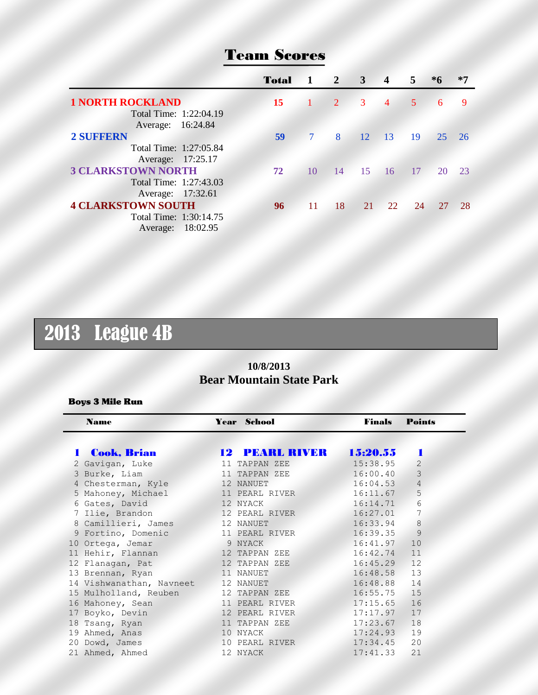|                           | Total | -1                            | $\overline{\mathbf{2}}$ | 3  | $\boldsymbol{4}$ | 5  | $*6$ | $*7$ |
|---------------------------|-------|-------------------------------|-------------------------|----|------------------|----|------|------|
| <b>1 NORTH ROCKLAND</b>   | 15    | $\left\vert \cdot\right\vert$ | $\overline{2}$          | 3  | $\overline{4}$   | 5  | 6    | -9   |
| Total Time: 1:22:04.19    |       |                               |                         |    |                  |    |      |      |
| Average: 16:24.84         |       |                               |                         |    |                  |    |      |      |
| <b>2 SUFFERN</b>          | 59    |                               | 8                       | 12 | $\overline{13}$  | 19 | 25   | -26  |
| Total Time: 1:27:05.84    |       |                               |                         |    |                  |    |      |      |
| Average: 17:25.17         |       |                               |                         |    |                  |    |      |      |
| <b>3 CLARKSTOWN NORTH</b> | 72    | 10                            | 14                      | 15 | 16               | 17 | 20   | 23   |
| Total Time: 1:27:43.03    |       |                               |                         |    |                  |    |      |      |
| Average: 17:32.61         |       |                               |                         |    |                  |    |      |      |
| <b>4 CLARKSTOWN SOUTH</b> | 96    | -11                           | 18                      | 21 | 22.              | 24 | 27   | 28   |
| Total Time: 1:30:14.75    |       |                               |                         |    |                  |    |      |      |
| Average: 18:02.95         |       |                               |                         |    |                  |    |      |      |

### Team Scores

# 2013 League 4B

### **10/8/2013 Bear Mountain State Park**

#### Boys 3 Mile Run

| <b>Name</b>              |                                                                                                                                                                                                                                      | <b>Year</b> School | <b>Finals</b> | <b>Points</b>  |
|--------------------------|--------------------------------------------------------------------------------------------------------------------------------------------------------------------------------------------------------------------------------------|--------------------|---------------|----------------|
| <b>Cook, Brian</b>       |                                                                                                                                                                                                                                      | 12 PEARL RIVER     | 15:20.55      |                |
| 2 Gavigan, Luke          |                                                                                                                                                                                                                                      | 11 TAPPAN ZEE      | 15:38.95      | $\overline{2}$ |
| 3 Burke, Liam            | 11 <sup>2</sup>                                                                                                                                                                                                                      | TAPPAN ZEE         | 16:00.40      | 3              |
| 4 Chesterman, Kyle       |                                                                                                                                                                                                                                      | 12 NANUET          | 16:04.53      | $\overline{4}$ |
| 5 Mahoney, Michael       |                                                                                                                                                                                                                                      | 11 PEARL RIVER     | 16:11.67      | 5              |
| 6 Gates, David           |                                                                                                                                                                                                                                      | 12 NYACK           | 16:14.71      | 6              |
| 7 Ilie, Brandon          |                                                                                                                                                                                                                                      | 12 PEARL RIVER     | 16:27.01      | 7              |
| 8 Camillieri, James      |                                                                                                                                                                                                                                      | 12 NANUET          | 16:33.94      | 8              |
| 9 Fortino, Domenic       |                                                                                                                                                                                                                                      | 11 PEARL RIVER     | 16:39.35      | 9              |
| 10 Ortega, Jemar         |                                                                                                                                                                                                                                      | 9 NYACK            | 16:41.97      | 10             |
| 11 Hehir, Flannan        |                                                                                                                                                                                                                                      | 12 TAPPAN ZEE      | 16:42.74      | 11             |
| 12 Flanagan, Pat         |                                                                                                                                                                                                                                      | 12 TAPPAN ZEE      | 16:45.29      | 12             |
| 13 Brennan, Ryan         |                                                                                                                                                                                                                                      | 11 NANUET          | 16:48.58      | 13             |
| 14 Vishwanathan, Navneet | <u>and the state of the state of the state of the state of the state of the state of the state of the state of the state of the state of the state of the state of the state of the state of the state of the state of the state</u> | 12 NANUET          | 16:48.88      | 14             |
| 15 Mulholland, Reuben    |                                                                                                                                                                                                                                      | 12 TAPPAN ZEE      | 16:55.75      | 15             |
| 16 Mahoney, Sean         |                                                                                                                                                                                                                                      | 11 PEARL RIVER     | 17:15.65      | 16             |
| 17 Boyko, Devin          |                                                                                                                                                                                                                                      | 12 PEARL RIVER     | 17:17.97      | 17             |
| 18 Tsang, Ryan           |                                                                                                                                                                                                                                      | 11 TAPPAN ZEE      | 17:23.67      | 18             |
| 19 Ahmed, Anas           |                                                                                                                                                                                                                                      | 10 NYACK           | 17:24.93      | 19             |
| 20 Dowd, James           |                                                                                                                                                                                                                                      | 10 PEARL RIVER     | 17:34.45      | 20             |
| 21 Ahmed, Ahmed          |                                                                                                                                                                                                                                      | 12 NYACK           | 17:41.33      | 21             |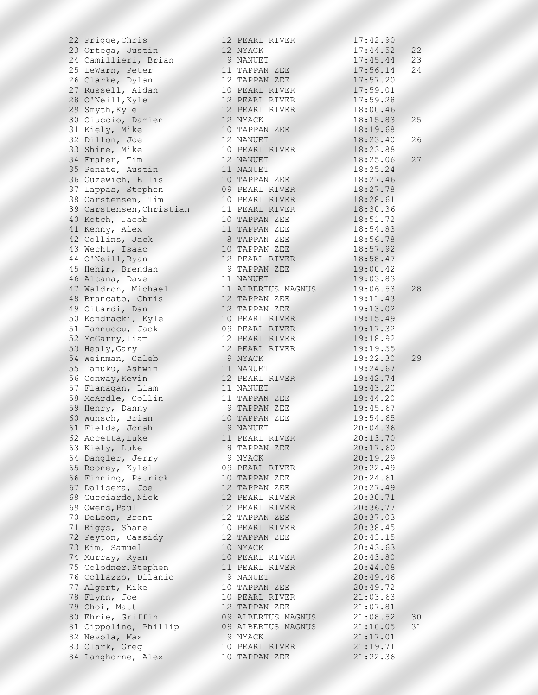| 22 Prigge, Chris         | 12 PEARL RIVER                   | 17:42.90 |    |
|--------------------------|----------------------------------|----------|----|
| 23 Ortega, Justin        | 12 NYACK                         | 17:44.52 | 22 |
| 24 Camillieri, Brian     | 9 NANUET                         | 17:45.44 | 23 |
| 25 LeWarn, Peter         | 11 TAPPAN ZEE                    | 17:56.14 | 24 |
| 26 Clarke, Dylan         | 12 TAPPAN ZEE                    | 17:57.20 |    |
| 27 Russell, Aidan        | 10 PEARL RIVER                   | 17:59.01 |    |
| 28 O'Neill, Kyle         | 12 PEARL RIVER                   | 17:59.28 |    |
| 29 Smyth, Kyle           | 12 PEARL RIVER                   | 18:00.46 |    |
| 30 Ciuccio, Damien       | 12 NYACK                         | 18:15.83 | 25 |
| 31 Kiely, Mike           | 10 TAPPAN ZEE                    | 18:19.68 |    |
| 32 Dillon, Joe           | 12 NANUET                        | 18:23.40 | 26 |
| 33 Shine, Mike           | 10 PEARL RIVER                   | 18:23.88 |    |
| 34 Fraher, Tim           | 12 NANUET                        | 18:25.06 | 27 |
| 35 Penate, Austin        | 11 NANUET                        | 18:25.24 |    |
| 36 Guzewich, Ellis       | 10 TAPPAN ZEE                    | 18:27.46 |    |
| 37 Lappas, Stephen       | 09 PEARL RIVER                   | 18:27.78 |    |
| 38 Carstensen, Tim       | 10 PEARL RIVER                   | 18:28.61 |    |
| 39 Carstensen, Christian | 11 PEARL RIVER                   | 18:30.36 |    |
| 40 Kotch, Jacob          | 10 TAPPAN ZEE                    | 18:51.72 |    |
| 41 Kenny, Alex           | 11 TAPPAN ZEE                    | 18:54.83 |    |
| 42 Collins, Jack         | 8 TAPPAN ZEE                     | 18:56.78 |    |
| 43 Wecht, Isaac          | 10 TAPPAN ZEE                    |          |    |
|                          |                                  | 18:57.92 |    |
| 44 O'Neill, Ryan         | 12 PEARL RIVER                   | 18:58.47 |    |
| 45 Hehir, Brendan        | 9 TAPPAN ZEE                     | 19:00.42 |    |
| 46 Alcana, Dave          | 11 NANUET                        | 19:03.83 |    |
| 47 Waldron, Michael      | 11 ALBERTUS MAGNUS               | 19:06.53 | 28 |
| 48 Brancato, Chris       | 12 TAPPAN ZEE                    | 19:11.43 |    |
| 49 Citardi, Dan          | 12 TAPPAN ZEE                    | 19:13.02 |    |
| 50 Kondracki, Kyle       | 10 PEARL RIVER                   | 19:15.49 |    |
| 51 Iannuccu, Jack        | 09 PEARL RIVER                   | 19:17.32 |    |
| 52 McGarry, Liam         | 12 PEARL RIVER                   | 19:18.92 |    |
| 53 Healy, Gary           | 12 PEARL RIVER                   | 19:19.55 |    |
| 54 Weinman, Caleb        | 9 NYACK                          | 19:22.30 | 29 |
| 55 Tanuku, Ashwin        | 11 NANUET                        | 19:24.67 |    |
| 56 Conway, Kevin         | 12 PEARL RIVER                   | 19:42.74 |    |
| 57 Flanagan, Liam        | 11 NANUET                        | 19:43.20 |    |
| 58 McArdle, Collin       | 11 TAPPAN ZEE                    | 19:44.20 |    |
| 59 Henry, Danny          | 9 TAPPAN ZEE                     | 19:45.67 |    |
| 60 Wunsch, Brian         | 10 TAPPAN ZEE                    | 19:54.65 |    |
| 61 Fields, Jonah         | 9 NANUET                         | 20:04.36 |    |
| 62 Accetta, Luke         | 11 PEARL RIVER                   | 20:13.70 |    |
| 63 Kiely, Luke           | 8 TAPPAN ZEE                     | 20:17.60 |    |
| 64 Dangler, Jerry        | 9 NYACK                          | 20:19.29 |    |
| 65 Rooney, Kylel         | 09 PEARL RIVER                   | 20:22.49 |    |
| 66 Finning, Patrick      | 10 TAPPAN ZEE                    | 20:24.61 |    |
| 67 Dalisera, Joe         | 12 TAPPAN ZEE                    | 20:27.49 |    |
| 68 Gucciardo, Nick       | 12 PEARL RIVER                   | 20:30.71 |    |
| 69 Owens, Paul           | 12 PEARL RIVER                   | 20:36.77 |    |
| 70 DeLeon, Brent         | 12 TAPPAN ZEE                    | 20:37.03 |    |
| 71 Riggs, Shane          | 10 PEARL RIVER                   | 20:38.45 |    |
| 72 Peyton, Cassidy       | 12 TAPPAN ZEE                    | 20:43.15 |    |
| 73 Kim, Samuel           | 10 NYACK                         | 20:43.63 |    |
|                          |                                  | 20:43.80 |    |
| 74 Murray, Ryan          | 10 PEARL RIVER<br>11 PEARL RIVER |          |    |
| 75 Colodner, Stephen     |                                  | 20:44.08 |    |
| 76 Collazzo, Dilanio     | 9 NANUET                         | 20:49.46 |    |
| 77 Algert, Mike          | 10 TAPPAN ZEE                    | 20:49.72 |    |
| 78 Flynn, Joe            | 10 PEARL RIVER                   | 21:03.63 |    |
| 79 Choi, Matt            | 12 TAPPAN ZEE                    | 21:07.81 |    |
| 80 Ehrie, Griffin        | 09 ALBERTUS MAGNUS               | 21:08.52 | 30 |
| 81 Cippolino, Phillip    | 09 ALBERTUS MAGNUS               | 21:10.05 | 31 |
| 82 Nevola, Max           | 9 NYACK                          | 21:17.01 |    |
| 83 Clark, Greg           | 10 PEARL RIVER                   | 21:19.71 |    |
| 84 Langhorne, Alex       | 10 TAPPAN ZEE                    | 21:22.36 |    |